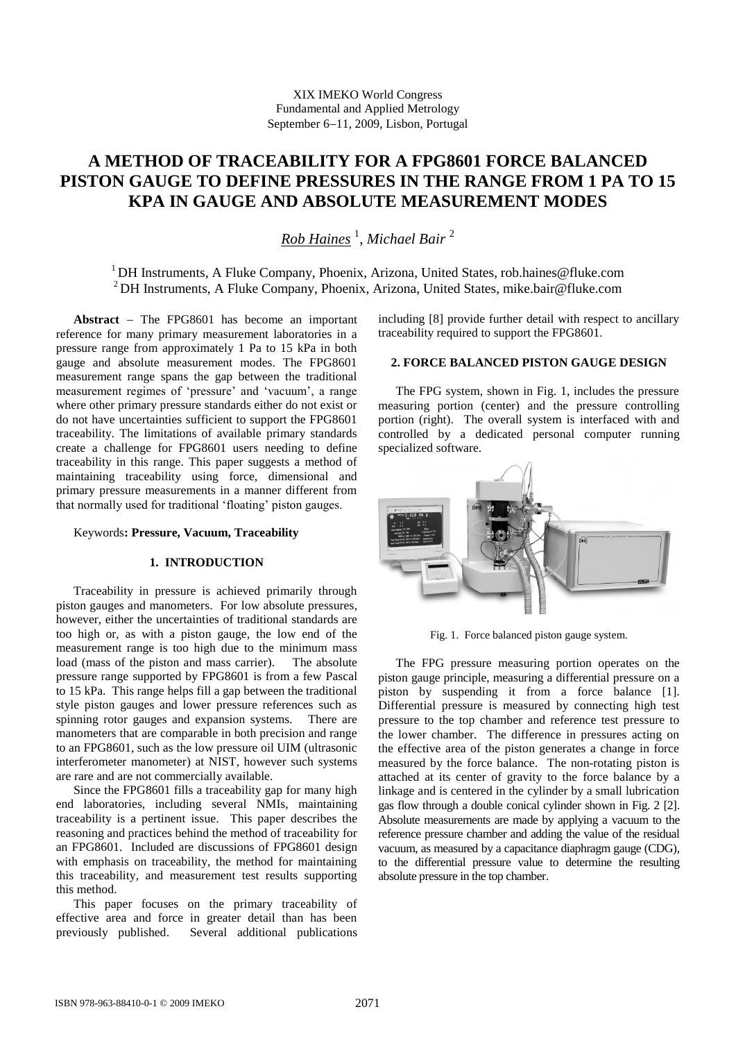# **A METHOD OF TRACEABILITY FOR A FPG8601 FORCE BALANCED PISTON GAUGE TO DEFINE PRESSURES IN THE RANGE FROM 1 PA TO 15 KPA IN GAUGE AND ABSOLUTE MEASUREMENT MODES**

*Rob Haines* <sup>1</sup> , *Michael Bair* <sup>2</sup>

<sup>1</sup> DH Instruments, A Fluke Company, Phoenix, Arizona, United States, rob.haines@fluke.com <sup>2</sup> DH Instruments, A Fluke Company, Phoenix, Arizona, United States, mike.bair@fluke.com

**Abstract** The FPG8601 has become an important reference for many primary measurement laboratories in a pressure range from approximately 1 Pa to 15 kPa in both gauge and absolute measurement modes. The FPG8601 measurement range spans the gap between the traditional measurement regimes of 'pressure' and 'vacuum', a range where other primary pressure standards either do not exist or do not have uncertainties sufficient to support the FPG8601 traceability. The limitations of available primary standards create a challenge for FPG8601 users needing to define traceability in this range. This paper suggests a method of maintaining traceability using force, dimensional and primary pressure measurements in a manner different from that normally used for traditional 'floating' piston gauges.

# Keywords**: Pressure, Vacuum, Traceability**

# **1. INTRODUCTION**

Traceability in pressure is achieved primarily through piston gauges and manometers. For low absolute pressures, however, either the uncertainties of traditional standards are too high or, as with a piston gauge, the low end of the measurement range is too high due to the minimum mass load (mass of the piston and mass carrier). The absolute pressure range supported by FPG8601 is from a few Pascal to 15 kPa. This range helps fill a gap between the traditional style piston gauges and lower pressure references such as spinning rotor gauges and expansion systems. There are manometers that are comparable in both precision and range to an FPG8601, such as the low pressure oil UIM (ultrasonic interferometer manometer) at NIST, however such systems are rare and are not commercially available.

Since the FPG8601 fills a traceability gap for many high end laboratories, including several NMIs, maintaining traceability is a pertinent issue. This paper describes the reasoning and practices behind the method of traceability for an FPG8601. Included are discussions of FPG8601 design with emphasis on traceability, the method for maintaining this traceability, and measurement test results supporting this method.

This paper focuses on the primary traceability of effective area and force in greater detail than has been previously published. Several additional publications

including [8] provide further detail with respect to ancillary traceability required to support the FPG8601.

# **2. FORCE BALANCED PISTON GAUGE DESIGN**

The FPG system, shown in Fig. 1, includes the pressure measuring portion (center) and the pressure controlling portion (right). The overall system is interfaced with and controlled by a dedicated personal computer running specialized software.



Fig. 1. Force balanced piston gauge system.

The FPG pressure measuring portion operates on the piston gauge principle, measuring a differential pressure on a piston by suspending it from a force balance [1]. Differential pressure is measured by connecting high test pressure to the top chamber and reference test pressure to the lower chamber. The difference in pressures acting on the effective area of the piston generates a change in force measured by the force balance. The non-rotating piston is attached at its center of gravity to the force balance by a linkage and is centered in the cylinder by a small lubrication gas flow through a double conical cylinder shown in Fig. 2 [2]. Absolute measurements are made by applying a vacuum to the reference pressure chamber and adding the value of the residual vacuum, as measured by a capacitance diaphragm gauge (CDG), to the differential pressure value to determine the resulting absolute pressure in the top chamber.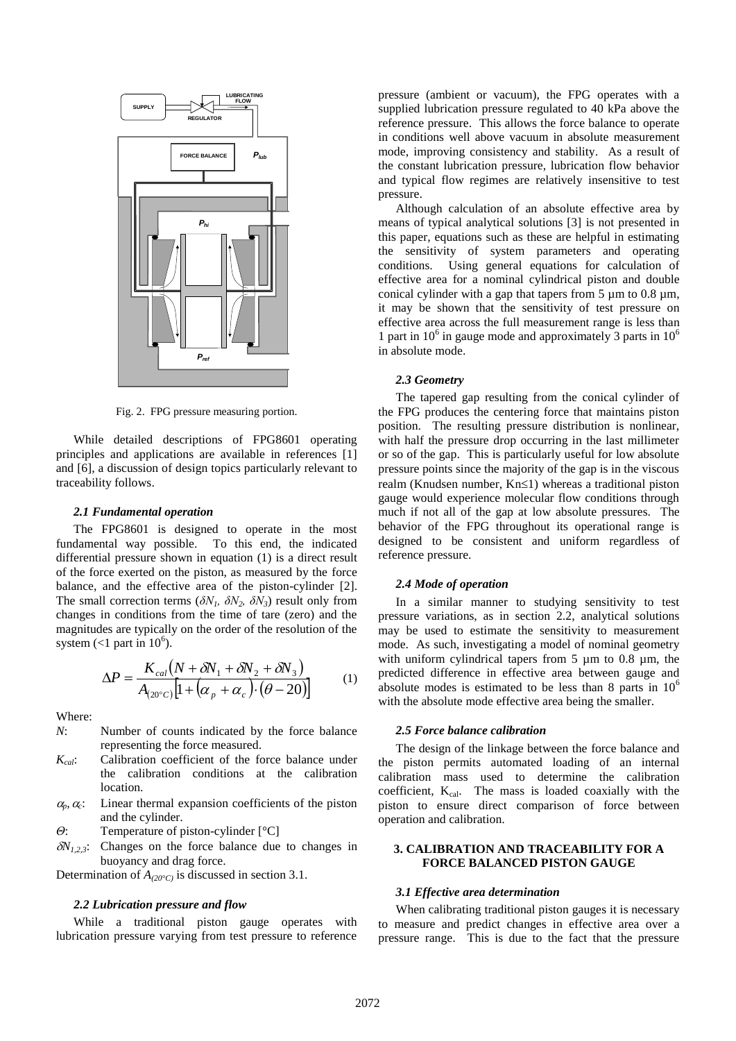

Fig. 2. FPG pressure measuring portion.

While detailed descriptions of FPG8601 operating principles and applications are available in references [1] and [6], a discussion of design topics particularly relevant to traceability follows.

## *2.1 Fundamental operation*

The FPG8601 is designed to operate in the most fundamental way possible. To this end, the indicated differential pressure shown in equation (1) is a direct result of the force exerted on the piston, as measured by the force balance, and the effective area of the piston-cylinder [2]. The small correction terms ( $\delta N_1$ ,  $\delta N_2$ ,  $\delta N_3$ ) result only from changes in conditions from the time of tare (zero) and the magnitudes are typically on the order of the resolution of the system (<1 part in  $10^6$ ).

$$
\Delta P = \frac{K_{cal}(N + \delta N_1 + \delta N_2 + \delta N_3)}{A_{(20^\circ C)}[1 + (\alpha_p + \alpha_c) \cdot (\theta - 20)]}
$$
(1)

Where:

- *N*: Number of counts indicated by the force balance representing the force measured.
- *Kcal*: Calibration coefficient of the force balance under the calibration conditions at the calibration location.
- $\alpha_p$ *,*  $\alpha_c$ *:* : Linear thermal expansion coefficients of the piston and the cylinder.

*Θ*: Temperature of piston-cylinder [°C]

 $\delta N_{1,2}$ . Changes on the force balance due to changes in buoyancy and drag force.

Determination of *A(20°C)* is discussed in section 3.1.

#### *2.2 Lubrication pressure and flow*

While a traditional piston gauge operates with lubrication pressure varying from test pressure to reference

pressure (ambient or vacuum), the FPG operates with a supplied lubrication pressure regulated to 40 kPa above the reference pressure. This allows the force balance to operate in conditions well above vacuum in absolute measurement mode, improving consistency and stability. As a result of the constant lubrication pressure, lubrication flow behavior and typical flow regimes are relatively insensitive to test pressure.

Although calculation of an absolute effective area by means of typical analytical solutions [3] is not presented in this paper, equations such as these are helpful in estimating the sensitivity of system parameters and operating conditions. Using general equations for calculation of effective area for a nominal cylindrical piston and double conical cylinder with a gap that tapers from  $5 \mu m$  to 0.8  $\mu m$ , it may be shown that the sensitivity of test pressure on effective area across the full measurement range is less than 1 part in  $10^6$  in gauge mode and approximately 3 parts in  $10^6$ in absolute mode.

# *2.3 Geometry*

The tapered gap resulting from the conical cylinder of the FPG produces the centering force that maintains piston position. The resulting pressure distribution is nonlinear, with half the pressure drop occurring in the last millimeter or so of the gap. This is particularly useful for low absolute pressure points since the majority of the gap is in the viscous realm (Knudsen number,  $Kn \leq 1$ ) whereas a traditional piston gauge would experience molecular flow conditions through much if not all of the gap at low absolute pressures. The behavior of the FPG throughout its operational range is designed to be consistent and uniform regardless of reference pressure.

#### *2.4 Mode of operation*

In a similar manner to studying sensitivity to test pressure variations, as in section 2.2, analytical solutions may be used to estimate the sensitivity to measurement mode. As such, investigating a model of nominal geometry with uniform cylindrical tapers from 5  $\mu$ m to 0.8  $\mu$ m, the predicted difference in effective area between gauge and absolute modes is estimated to be less than 8 parts in  $10<sup>6</sup>$ with the absolute mode effective area being the smaller.

#### *2.5 Force balance calibration*

The design of the linkage between the force balance and the piston permits automated loading of an internal calibration mass used to determine the calibration coefficient,  $K_{cal}$ . The mass is loaded coaxially with the piston to ensure direct comparison of force between operation and calibration.

# **3. CALIBRATION AND TRACEABILITY FOR A FORCE BALANCED PISTON GAUGE**

# *3.1 Effective area determination*

When calibrating traditional piston gauges it is necessary to measure and predict changes in effective area over a pressure range. This is due to the fact that the pressure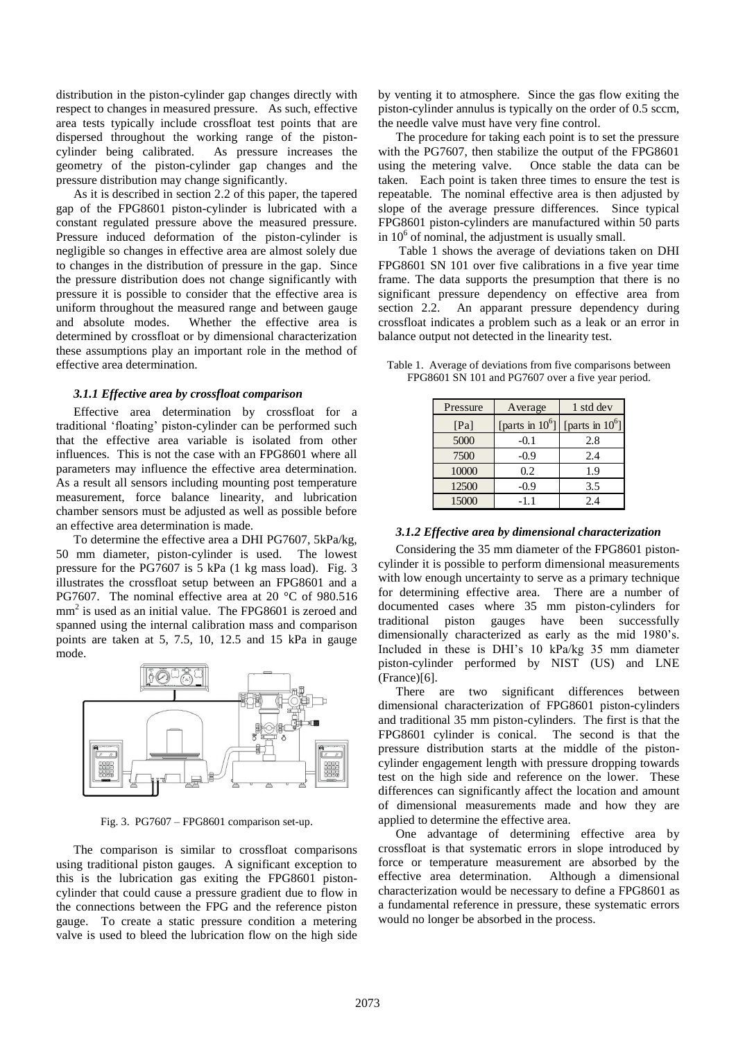distribution in the piston-cylinder gap changes directly with respect to changes in measured pressure. As such, effective area tests typically include crossfloat test points that are dispersed throughout the working range of the pistoncylinder being calibrated. As pressure increases the geometry of the piston-cylinder gap changes and the pressure distribution may change significantly.

As it is described in section 2.2 of this paper, the tapered gap of the FPG8601 piston-cylinder is lubricated with a constant regulated pressure above the measured pressure. Pressure induced deformation of the piston-cylinder is negligible so changes in effective area are almost solely due to changes in the distribution of pressure in the gap. Since the pressure distribution does not change significantly with pressure it is possible to consider that the effective area is uniform throughout the measured range and between gauge and absolute modes. Whether the effective area is determined by crossfloat or by dimensional characterization these assumptions play an important role in the method of effective area determination.

#### *3.1.1 Effective area by crossfloat comparison*

Effective area determination by crossfloat for a traditional 'floating' piston-cylinder can be performed such that the effective area variable is isolated from other influences. This is not the case with an FPG8601 where all parameters may influence the effective area determination. As a result all sensors including mounting post temperature measurement, force balance linearity, and lubrication chamber sensors must be adjusted as well as possible before an effective area determination is made.

To determine the effective area a DHI PG7607, 5kPa/kg, 50 mm diameter, piston-cylinder is used. The lowest pressure for the PG7607 is 5 kPa (1 kg mass load). Fig. 3 illustrates the crossfloat setup between an FPG8601 and a PG7607. The nominal effective area at 20 °C of 980.516 mm<sup>2</sup> is used as an initial value. The FPG8601 is zeroed and spanned using the internal calibration mass and comparison points are taken at 5, 7.5, 10, 12.5 and 15 kPa in gauge mode.



Fig. 3. PG7607 – FPG8601 comparison set-up.

The comparison is similar to crossfloat comparisons using traditional piston gauges. A significant exception to this is the lubrication gas exiting the FPG8601 pistoncylinder that could cause a pressure gradient due to flow in the connections between the FPG and the reference piston gauge. To create a static pressure condition a metering valve is used to bleed the lubrication flow on the high side by venting it to atmosphere. Since the gas flow exiting the piston-cylinder annulus is typically on the order of 0.5 sccm, the needle valve must have very fine control.

The procedure for taking each point is to set the pressure with the PG7607, then stabilize the output of the FPG8601 using the metering valve. Once stable the data can be taken. Each point is taken three times to ensure the test is repeatable. The nominal effective area is then adjusted by slope of the average pressure differences. Since typical FPG8601 piston-cylinders are manufactured within 50 parts in  $10<sup>6</sup>$  of nominal, the adjustment is usually small.

Table 1 shows the average of deviations taken on DHI FPG8601 SN 101 over five calibrations in a five year time frame. The data supports the presumption that there is no significant pressure dependency on effective area from section 2.2. An apparant pressure dependency during crossfloat indicates a problem such as a leak or an error in balance output not detected in the linearity test.

| Pressure | Average            | 1 std dev          |  |
|----------|--------------------|--------------------|--|
| [Pa]     | [parts in $10^6$ ] | [parts in $10^6$ ] |  |
| 5000     | $-0.1$             | 2.8                |  |
| 7500     | $-0.9$             | 2.4                |  |
| 10000    | 0.2                | 1.9                |  |
| 12500    | $-0.9$             | 3.5                |  |
| 15000    | -11                | 2.4                |  |

Table 1. Average of deviations from five comparisons between FPG8601 SN 101 and PG7607 over a five year period.

# *3.1.2 Effective area by dimensional characterization*

Considering the 35 mm diameter of the FPG8601 pistoncylinder it is possible to perform dimensional measurements with low enough uncertainty to serve as a primary technique for determining effective area. There are a number of documented cases where 35 mm piston-cylinders for traditional piston gauges have been successfully dimensionally characterized as early as the mid 1980's. Included in these is DHI's 10 kPa/kg 35 mm diameter piston-cylinder performed by NIST (US) and LNE (France)[6].

There are two significant differences between dimensional characterization of FPG8601 piston-cylinders and traditional 35 mm piston-cylinders. The first is that the FPG8601 cylinder is conical. The second is that the pressure distribution starts at the middle of the pistoncylinder engagement length with pressure dropping towards test on the high side and reference on the lower. These differences can significantly affect the location and amount of dimensional measurements made and how they are applied to determine the effective area.

One advantage of determining effective area by crossfloat is that systematic errors in slope introduced by force or temperature measurement are absorbed by the effective area determination. Although a dimensional characterization would be necessary to define a FPG8601 as a fundamental reference in pressure, these systematic errors would no longer be absorbed in the process.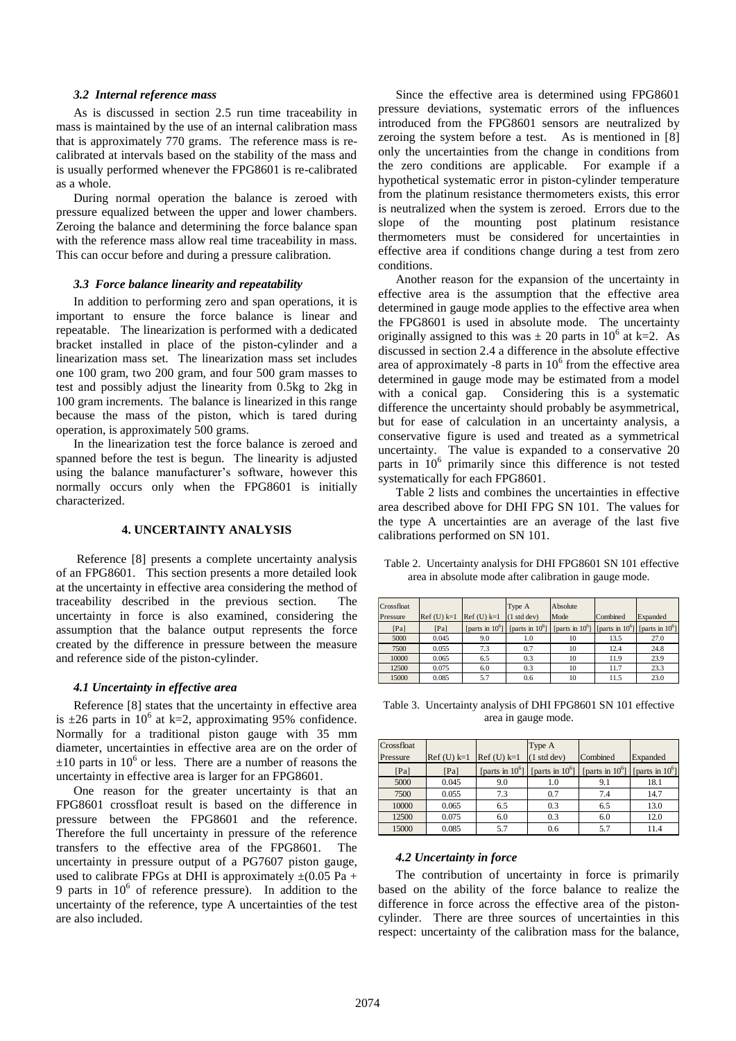#### *3.2 Internal reference mass*

As is discussed in section 2.5 run time traceability in mass is maintained by the use of an internal calibration mass that is approximately 770 grams. The reference mass is recalibrated at intervals based on the stability of the mass and is usually performed whenever the FPG8601 is re-calibrated as a whole.

During normal operation the balance is zeroed with pressure equalized between the upper and lower chambers. Zeroing the balance and determining the force balance span with the reference mass allow real time traceability in mass. This can occur before and during a pressure calibration.

# *3.3 Force balance linearity and repeatability*

In addition to performing zero and span operations, it is important to ensure the force balance is linear and repeatable. The linearization is performed with a dedicated bracket installed in place of the piston-cylinder and a linearization mass set. The linearization mass set includes one 100 gram, two 200 gram, and four 500 gram masses to test and possibly adjust the linearity from 0.5kg to 2kg in 100 gram increments. The balance is linearized in this range because the mass of the piston, which is tared during operation, is approximately 500 grams.

In the linearization test the force balance is zeroed and spanned before the test is begun. The linearity is adjusted using the balance manufacturer's software, however this normally occurs only when the FPG8601 is initially characterized.

### **4. UNCERTAINTY ANALYSIS**

Reference [8] presents a complete uncertainty analysis of an FPG8601. This section presents a more detailed look at the uncertainty in effective area considering the method of traceability described in the previous section. uncertainty in force is also examined, considering the assumption that the balance output represents the force created by the difference in pressure between the measure and reference side of the piston-cylinder.

### *4.1 Uncertainty in effective area*

Reference [8] states that the uncertainty in effective area is  $\pm 26$  parts in 10<sup>6</sup> at k=2, approximating 95% confidence. Normally for a traditional piston gauge with 35 mm diameter, uncertainties in effective area are on the order of  $\pm 10$  parts in 10<sup>6</sup> or less. There are a number of reasons the uncertainty in effective area is larger for an FPG8601.

One reason for the greater uncertainty is that an FPG8601 crossfloat result is based on the difference in pressure between the FPG8601 and the reference. Therefore the full uncertainty in pressure of the reference transfers to the effective area of the FPG8601. The uncertainty in pressure output of a PG7607 piston gauge, used to calibrate FPGs at DHI is approximately  $\pm (0.05 \text{ Pa} +$ 9 parts in  $10^6$  of reference pressure). In addition to the uncertainty of the reference, type A uncertainties of the test are also included.

Since the effective area is determined using FPG8601 pressure deviations, systematic errors of the influences introduced from the FPG8601 sensors are neutralized by zeroing the system before a test. As is mentioned in [8] only the uncertainties from the change in conditions from the zero conditions are applicable. For example if a hypothetical systematic error in piston-cylinder temperature from the platinum resistance thermometers exists, this error is neutralized when the system is zeroed. Errors due to the slope of the mounting post platinum resistance thermometers must be considered for uncertainties in effective area if conditions change during a test from zero conditions.

Another reason for the expansion of the uncertainty in effective area is the assumption that the effective area determined in gauge mode applies to the effective area when the FPG8601 is used in absolute mode. The uncertainty originally assigned to this was  $\pm 20$  parts in 10<sup>6</sup> at k=2. As discussed in section 2.4 a difference in the absolute effective area of approximately -8 parts in  $10<sup>6</sup>$  from the effective area determined in gauge mode may be estimated from a model with a conical gap. Considering this is a systematic difference the uncertainty should probably be asymmetrical, but for ease of calculation in an uncertainty analysis, a conservative figure is used and treated as a symmetrical uncertainty. The value is expanded to a conservative 20 parts in 10<sup>6</sup> primarily since this difference is not tested systematically for each FPG8601.

Table 2 lists and combines the uncertainties in effective area described above for DHI FPG SN 101. The values for the type A uncertainties are an average of the last five calibrations performed on SN 101.

| Crossfloat<br>Pressure | $Ref(U)$ k=1 | $Ref(U)$ k=1 | Type A<br>(1 <sub>std</sub> dev) | Absolute<br>Mode                                                                               | Combined | Expanded |
|------------------------|--------------|--------------|----------------------------------|------------------------------------------------------------------------------------------------|----------|----------|
| [Pa]                   | [Pa]         |              |                                  | [parts in $10^6$ ] [parts in $10^6$ ] [parts in $10^6$ ] [parts in $10^6$ ] [parts in $10^6$ ] |          |          |
| 5000                   | 0.045        | 9.0          | 1.0                              | 10                                                                                             | 13.5     | 27.0     |
| 7500                   | 0.055        | 7.3          | 0.7                              | 10                                                                                             | 12.4     | 24.8     |
| 10000                  | 0.065        | 6.5          | 0.3                              | 10                                                                                             | 11.9     | 23.9     |
| 12500                  | 0.075        | 6.0          | 0.3                              | 10                                                                                             | 11.7     | 23.3     |
| 15000                  | 0.085        | 5.7          | 0.6                              | 10                                                                                             | 11.5     | 23.0     |

 Table 2. Uncertainty analysis for DHI FPG8601 SN 101 effective area in absolute mode after calibration in gauge mode.

Table 3. Uncertainty analysis of DHI FPG8601 SN 101 effective area in gauge mode.

| Crossfloat |              |              | Type A                                                                      |          |          |
|------------|--------------|--------------|-----------------------------------------------------------------------------|----------|----------|
| Pressure   | $Ref(U)$ k=1 | $Ref(U)$ k=1 | $(1 \text{ std dev})$                                                       | Combined | Expanded |
| [Pa]       | [Pa]         |              | [parts in $10^6$ ] [parts in $10^6$ ] [parts in $10^6$ ] [parts in $10^6$ ] |          |          |
| 5000       | 0.045        | 9.0          | 1.0                                                                         | 9.1      | 18.1     |
| 7500       | 0.055        | 7.3          | 0.7                                                                         | 7.4      | 14.7     |
| 10000      | 0.065        | 6.5          | 0.3                                                                         | 6.5      | 13.0     |
| 12500      | 0.075        | 6.0          | 0.3                                                                         | 6.0      | 12.0     |
| 15000      | 0.085        | 5.7          | 0.6                                                                         | 5.7      | 11.4     |

#### *4.2 Uncertainty in force*

The contribution of uncertainty in force is primarily based on the ability of the force balance to realize the difference in force across the effective area of the pistoncylinder. There are three sources of uncertainties in this respect: uncertainty of the calibration mass for the balance,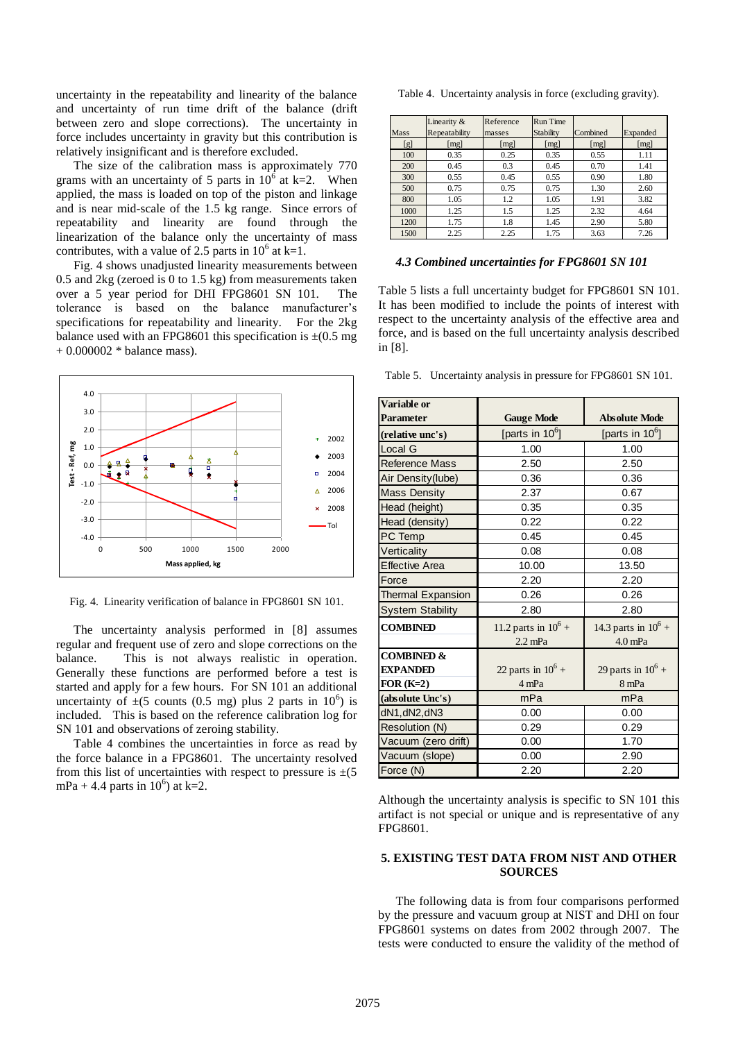uncertainty in the repeatability and linearity of the balance and uncertainty of run time drift of the balance (drift between zero and slope corrections). The uncertainty in force includes uncertainty in gravity but this contribution is relatively insignificant and is therefore excluded.

The size of the calibration mass is approximately 770 grams with an uncertainty of 5 parts in  $10^6$  at k=2. When applied, the mass is loaded on top of the piston and linkage and is near mid-scale of the 1.5 kg range. Since errors of repeatability and linearity are found through the linearization of the balance only the uncertainty of mass contributes, with a value of 2.5 parts in  $10^6$  at k=1.

Fig. 4 shows unadjusted linearity measurements between 0.5 and 2kg (zeroed is 0 to 1.5 kg) from measurements taken over a 5 year period for DHI FPG8601 SN 101. The tolerance is based on the balance manufacturer's specifications for repeatability and linearity. For the 2kg balance used with an FPG8601 this specification is  $\pm$ (0.5 mg) + 0.000002 \* balance mass).



Fig. 4. Linearity verification of balance in FPG8601 SN 101.

The uncertainty analysis performed in [8] assumes regular and frequent use of zero and slope corrections on the balance. This is not always realistic in operation. Generally these functions are performed before a test is started and apply for a few hours. For SN 101 an additional uncertainty of  $\pm (5 \text{ counts } (0.5 \text{ mg}) \text{ plus } 2 \text{ parts in } 10^6)$  is included. This is based on the reference calibration log for SN 101 and observations of zeroing stability.

Table 4 combines the uncertainties in force as read by the force balance in a FPG8601. The uncertainty resolved from this list of uncertainties with respect to pressure is  $\pm(5)$ mPa + 4.4 parts in  $10^6$ ) at k=2.

Table 4. Uncertainty analysis in force (excluding gravity).

|      | Linearity &   | Reference | <b>Run Time</b> |          |          |
|------|---------------|-----------|-----------------|----------|----------|
| Mass | Repeatability | masses    | Stability       | Combined | Expanded |
| [g]  | [mg]          | [mg]      | [mg]            | [mg]     | [mg]     |
| 100  | 0.35          | 0.25      | 0.35            | 0.55     | 1.11     |
| 200  | 0.45          | 0.3       | 0.45            | 0.70     | 1.41     |
| 300  | 0.55          | 0.45      | 0.55            | 0.90     | 1.80     |
| 500  | 0.75          | 0.75      | 0.75            | 1.30     | 2.60     |
| 800  | 1.05          | 1.2       | 1.05            | 1.91     | 3.82     |
| 1000 | 1.25          | 1.5       | 1.25            | 2.32     | 4.64     |
| 1200 | 1.75          | 1.8       | 1.45            | 2.90     | 5.80     |
| 1500 | 2.25          | 2.25      | 1.75            | 3.63     | 7.26     |

*4.3 Combined uncertainties for FPG8601 SN 101*

Table 5 lists a full uncertainty budget for FPG8601 SN 101. It has been modified to include the points of interest with respect to the uncertainty analysis of the effective area and force, and is based on the full uncertainty analysis described in [8].

Table 5. Uncertainty analysis in pressure for FPG8601 SN 101.

| <b>Variable or</b>       |                        |                        |  |
|--------------------------|------------------------|------------------------|--|
| Parameter                | <b>Gauge Mode</b>      | <b>Absolute Mode</b>   |  |
| (relative unc's)         | [parts in $10^6$ ]     | [parts in $10^6$ ]     |  |
| Local G                  | 1.00                   | 1.00                   |  |
| <b>Reference Mass</b>    | 2.50                   | 2.50                   |  |
| Air Density(lube)        | 0.36                   | 0.36                   |  |
| <b>Mass Density</b>      | 2.37                   | 0.67                   |  |
| Head (height)            | 0.35                   | 0.35                   |  |
| Head (density)           | 0.22                   | 0.22                   |  |
| PC Temp                  | 0.45                   | 0.45                   |  |
| Verticality              | 0.08                   | 0.08                   |  |
| <b>Effective Area</b>    | 10.00                  | 13.50                  |  |
| Force                    | 2.20                   | 2.20                   |  |
| <b>Thermal Expansion</b> | 0.26                   | 0.26                   |  |
| <b>System Stability</b>  | 2.80                   | 2.80                   |  |
| <b>COMBINED</b>          | 11.2 parts in $10^6$ + | 14.3 parts in $10^6$ + |  |
|                          | $2.2$ mPa              | $4.0$ mPa              |  |
| <b>COMBINED &amp;</b>    |                        |                        |  |
| <b>EXPANDED</b>          | 22 parts in $10^6$ +   | 29 parts in $10^6$ +   |  |
| $FOR(K=2)$               | 4 mPa                  | 8 mPa                  |  |
| (absolute Unc's)         | mPa                    | mPa                    |  |
| dN1, dN2, dN3            | 0.00                   | 0.00                   |  |
| Resolution (N)           | 0.29<br>0.29           |                        |  |
| Vacuum (zero drift)      | 0.00                   | 1.70                   |  |
| Vacuum (slope)           | 0.00                   | 2.90                   |  |
| Force (N)                | 2.20                   | 2.20                   |  |

Although the uncertainty analysis is specific to SN 101 this artifact is not special or unique and is representative of any FPG8601.

# **5. EXISTING TEST DATA FROM NIST AND OTHER SOURCES**

The following data is from four comparisons performed by the pressure and vacuum group at NIST and DHI on four FPG8601 systems on dates from 2002 through 2007. The tests were conducted to ensure the validity of the method of